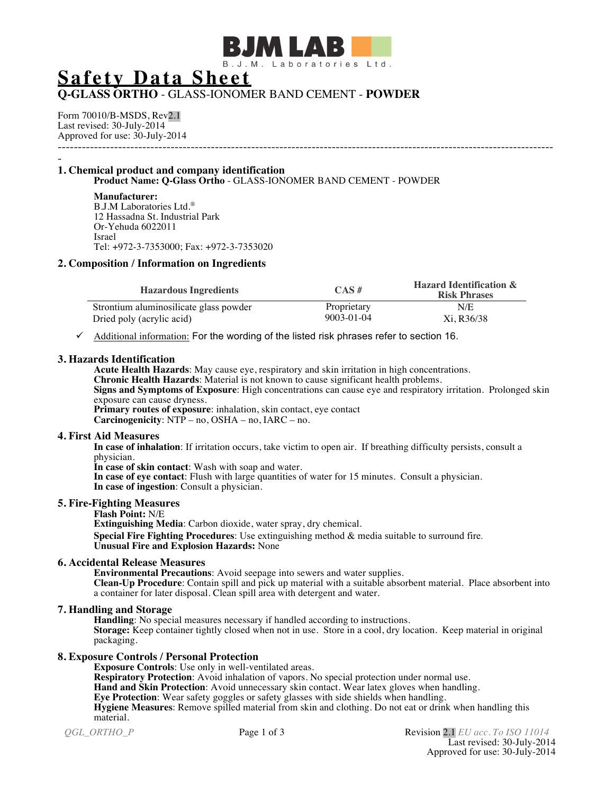

# **Safety Data Sheet**

# **Q-GLASS ORTHO** - GLASS-IONOMER BAND CEMENT - **POWDER**

Form 70010/B-MSDS, Rev2.1 Last revised: 30-July-2014 Approved for use: 30-July-2014 ---------------------------------------------------------------------------------------------------------------------------

#### - **1. Chemical product and company identification Product Name: Q-Glass Ortho** - GLASS-IONOMER BAND CEMENT - POWDER

**Manufacturer:** B.J.M Laboratories Ltd.® 12 Hassadna St. Industrial Park Or-Yehuda 6022011 Israel Tel: +972-3-7353000; Fax: +972-3-7353020

## **2. Composition / Information on Ingredients**

| <b>Hazardous Ingredients</b>           | $CAS \#$         | <b>Hazard Identification &amp;</b><br><b>Risk Phrases</b> |
|----------------------------------------|------------------|-----------------------------------------------------------|
| Strontium aluminosilicate glass powder | Proprietary      | N/E                                                       |
| Dried poly (acrylic acid)              | $9003 - 01 - 04$ | Xi, R36/38                                                |

 $\checkmark$  Additional information: For the wording of the listed risk phrases refer to section 16.

#### **3. Hazards Identification**

**Acute Health Hazards**: May cause eye, respiratory and skin irritation in high concentrations. **Chronic Health Hazards**: Material is not known to cause significant health problems. **Signs and Symptoms of Exposure**: High concentrations can cause eye and respiratory irritation. Prolonged skin exposure can cause dryness. **Primary routes of exposure**: inhalation, skin contact, eye contact **Carcinogenicity**:  $NTP - no$ ,  $OSHA - no$ ,  $IARC - no$ .

#### **4. First Aid Measures**

**In case of inhalation**: If irritation occurs, take victim to open air. If breathing difficulty persists, consult a physician.

**In case of skin contact**: Wash with soap and water.

**In case of eye contact**: Flush with large quantities of water for 15 minutes. Consult a physician. **In case of ingestion**: Consult a physician.

#### **5. Fire-Fighting Measures**

**Flash Point:** N/E **Extinguishing Media**: Carbon dioxide, water spray, dry chemical. **Special Fire Fighting Procedures**: Use extinguishing method & media suitable to surround fire. **Unusual Fire and Explosion Hazards:** None

#### **6. Accidental Release Measures**

**Environmental Precautions**: Avoid seepage into sewers and water supplies. **Clean-Up Procedure**: Contain spill and pick up material with a suitable absorbent material. Place absorbent into a container for later disposal. Clean spill area with detergent and water.

# **7. Handling and Storage**

**Handling**: No special measures necessary if handled according to instructions. **Storage:** Keep container tightly closed when not in use. Store in a cool, dry location. Keep material in original packaging.

# **8. Exposure Controls / Personal Protection**

**Exposure Controls**: Use only in well-ventilated areas.

**Respiratory Protection**: Avoid inhalation of vapors. No special protection under normal use.

**Hand and Skin Protection**: Avoid unnecessary skin contact. Wear latex gloves when handling.

**Eye Protection**: Wear safety goggles or safety glasses with side shields when handling.

**Hygiene Measures**: Remove spilled material from skin and clothing. Do not eat or drink when handling this material.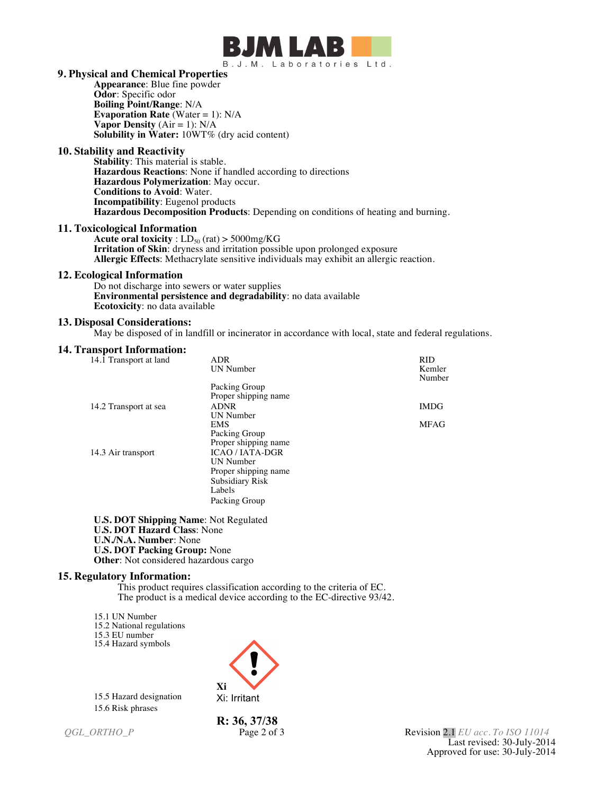

#### **9. Physical and Chemical Properties**

**Appearance**: Blue fine powder **Odor**: Specific odor **Boiling Point/Range**: N/A **Evaporation Rate** (Water = 1): N/A **Vapor Density**  $(Air = 1)$ :  $N/A$ **Solubility in Water:** 10WT% (dry acid content)

#### **10. Stability and Reactivity**

**Stability**: This material is stable. **Hazardous Reactions**: None if handled according to directions **Hazardous Polymerization**: May occur. **Conditions to Avoid**: Water. **Incompatibility**: Eugenol products **Hazardous Decomposition Products**: Depending on conditions of heating and burning.

#### **11. Toxicological Information**

**Acute oral toxicity** :  $LD_{50}$  (rat) > 5000mg/KG **Irritation of Skin**: dryness and irritation possible upon prolonged exposure **Allergic Effects**: Methacrylate sensitive individuals may exhibit an allergic reaction.

## **12. Ecological Information**

Do not discharge into sewers or water supplies **Environmental persistence and degradability**: no data available **Ecotoxicity**: no data available

#### **13. Disposal Considerations:**

May be disposed of in landfill or incinerator in accordance with local, state and federal regulations.

#### **14. Transport Information:**

| 14.1 Transport at land | ADR                  | RID              |
|------------------------|----------------------|------------------|
|                        | UN Number            | Kemler<br>Number |
|                        | Packing Group        |                  |
|                        | Proper shipping name |                  |
| 14.2 Transport at sea  | <b>ADNR</b>          | <b>IMDG</b>      |
|                        | UN Number            |                  |
|                        | <b>EMS</b>           | <b>MFAG</b>      |
|                        | Packing Group        |                  |
|                        | Proper shipping name |                  |
| 14.3 Air transport     | <b>ICAO/IATA-DGR</b> |                  |
|                        | UN Number            |                  |
|                        | Proper shipping name |                  |
|                        | Subsidiary Risk      |                  |
|                        | Labels               |                  |
|                        |                      |                  |
|                        | Packing Group        |                  |
|                        |                      |                  |

**U.S. DOT Shipping Name**: Not Regulated **U.S. DOT Hazard Class**: None **U.N./N.A. Number**: None **U.S. DOT Packing Group:** None **Other**: Not considered hazardous cargo

#### **15. Regulatory Information:**

This product requires classification according to the criteria of EC. The product is a medical device according to the EC-directive 93/42.

15.1 UN Number 15.2 National regulations 15.3 EU number

15.4 Hazard symbols

15.5 Hazard designation 15.6 Risk phrases



**R: 36, 37/38** 

*QGL\_ORTHO\_P* Page 2 of 3 Revision 2.1 *EU acc. To ISO 11014* Last revised: 30-July-2014 Approved for use: 30-July-2014